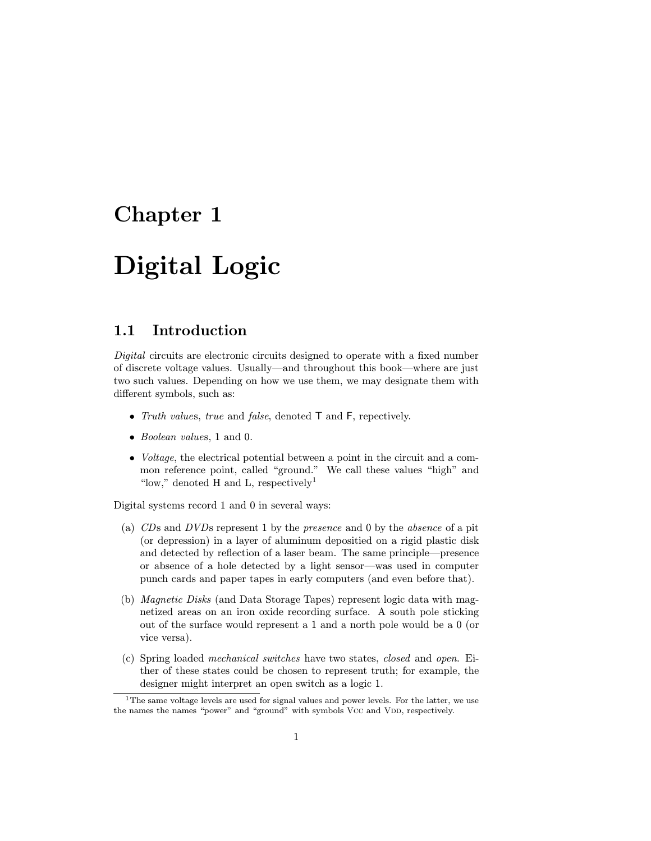## Chapter 1

# Digital Logic

## 1.1 Introduction

Digital circuits are electronic circuits designed to operate with a fixed number of discrete voltage values. Usually—and throughout this book—where are just two such values. Depending on how we use them, we may designate them with different symbols, such as:

- Truth values, true and false, denoted T and F, repectively.
- Boolean values, 1 and 0.
- *Voltage*, the electrical potential between a point in the circuit and a common reference point, called "ground." We call these values "high" and "low," denoted H and L, respectively<sup>1</sup>

Digital systems record 1 and 0 in several ways:

- (a) CDs and DVDs represent 1 by the presence and 0 by the absence of a pit (or depression) in a layer of aluminum depositied on a rigid plastic disk and detected by reflection of a laser beam. The same principle—presence or absence of a hole detected by a light sensor—was used in computer punch cards and paper tapes in early computers (and even before that).
- (b) Magnetic Disks (and Data Storage Tapes) represent logic data with magnetized areas on an iron oxide recording surface. A south pole sticking out of the surface would represent a 1 and a north pole would be a 0 (or vice versa).
- (c) Spring loaded mechanical switches have two states, closed and open. Either of these states could be chosen to represent truth; for example, the designer might interpret an open switch as a logic 1.

<sup>&</sup>lt;sup>1</sup>The same voltage levels are used for signal values and power levels. For the latter, we use the names the names "power" and "ground" with symbols Vcc and VDD, respectively.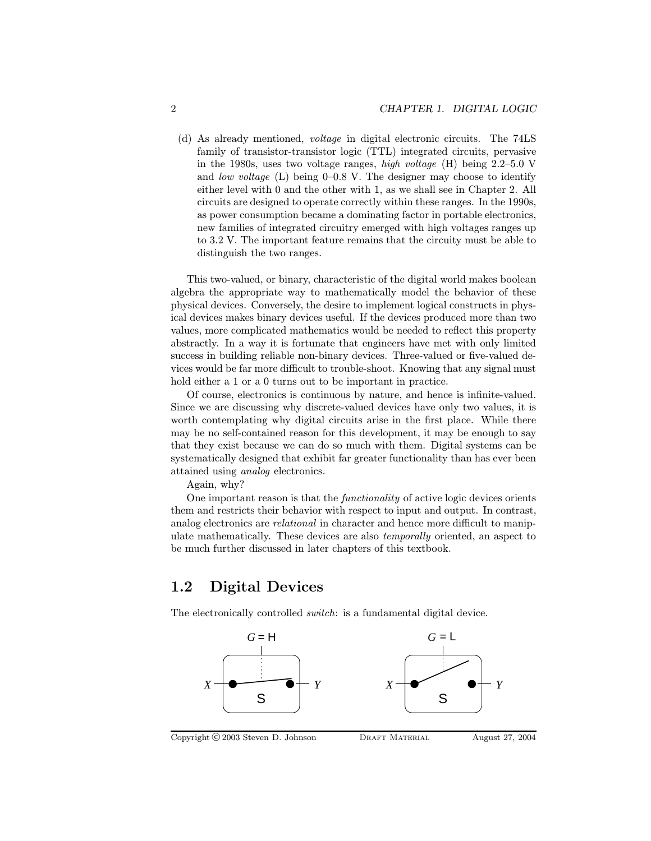(d) As already mentioned, voltage in digital electronic circuits. The 74LS family of transistor-transistor logic (TTL) integrated circuits, pervasive in the 1980s, uses two voltage ranges, high voltage (H) being 2.2–5.0 V and low voltage (L) being  $0-0.8$  V. The designer may choose to identify either level with 0 and the other with 1, as we shall see in Chapter 2. All circuits are designed to operate correctly within these ranges. In the 1990s, as power consumption became a dominating factor in portable electronics, new families of integrated circuitry emerged with high voltages ranges up to 3.2 V. The important feature remains that the circuity must be able to distinguish the two ranges.

This two-valued, or binary, characteristic of the digital world makes boolean algebra the appropriate way to mathematically model the behavior of these physical devices. Conversely, the desire to implement logical constructs in physical devices makes binary devices useful. If the devices produced more than two values, more complicated mathematics would be needed to reflect this property abstractly. In a way it is fortunate that engineers have met with only limited success in building reliable non-binary devices. Three-valued or five-valued devices would be far more difficult to trouble-shoot. Knowing that any signal must hold either a 1 or a 0 turns out to be important in practice.

Of course, electronics is continuous by nature, and hence is infinite-valued. Since we are discussing why discrete-valued devices have only two values, it is worth contemplating why digital circuits arise in the first place. While there may be no self-contained reason for this development, it may be enough to say that they exist because we can do so much with them. Digital systems can be systematically designed that exhibit far greater functionality than has ever been attained using analog electronics.

Again, why?

One important reason is that the functionality of active logic devices orients them and restricts their behavior with respect to input and output. In contrast, analog electronics are *relational* in character and hence more difficult to manipulate mathematically. These devices are also temporally oriented, an aspect to be much further discussed in later chapters of this textbook.

## 1.2 Digital Devices

The electronically controlled  $switch$ : is a fundamental digital device.

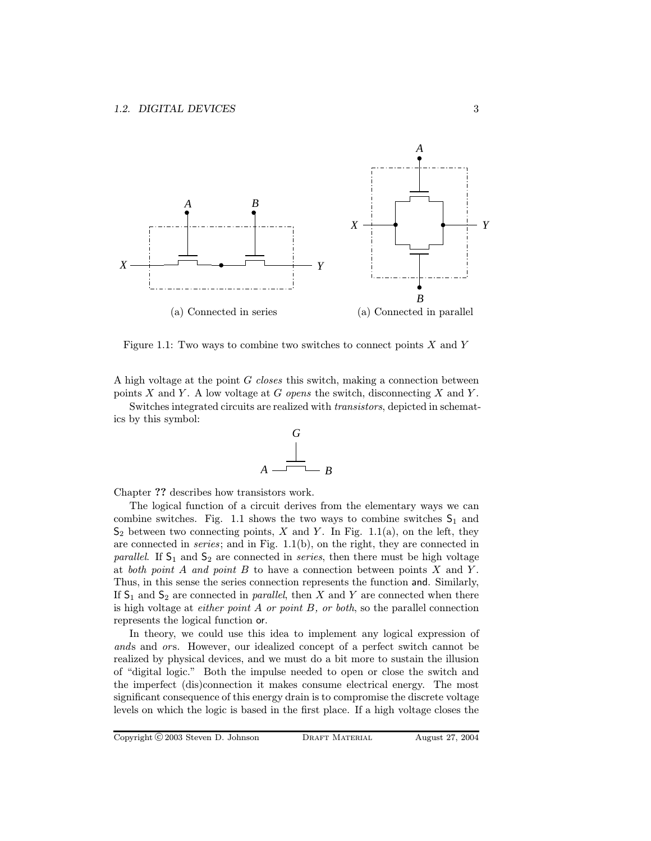

Figure 1.1: Two ways to combine two switches to connect points  $X$  and  $Y$ 

A high voltage at the point G closes this switch, making a connection between points  $X$  and  $Y$ . A low voltage at  $G$  opens the switch, disconnecting  $X$  and  $Y$ .

Switches integrated circuits are realized with transistors, depicted in schematics by this symbol:

$$
\begin{array}{c}\nG \\
\hline\n\end{array}
$$

Chapter ?? describes how transistors work.

The logical function of a circuit derives from the elementary ways we can combine switches. Fig. 1.1 shows the two ways to combine switches  $S_1$  and  $S_2$  between two connecting points, X and Y. In Fig. 1.1(a), on the left, they are connected in series; and in Fig. 1.1(b), on the right, they are connected in *parallel.* If  $S_1$  and  $S_2$  are connected in *series*, then there must be high voltage at both point  $A$  and point  $B$  to have a connection between points  $X$  and  $Y$ . Thus, in this sense the series connection represents the function and. Similarly, If  $S_1$  and  $S_2$  are connected in *parallel*, then X and Y are connected when there is high voltage at *either point A or point B, or both*, so the parallel connection represents the logical function or.

In theory, we could use this idea to implement any logical expression of ands and ors. However, our idealized concept of a perfect switch cannot be realized by physical devices, and we must do a bit more to sustain the illusion of "digital logic." Both the impulse needed to open or close the switch and the imperfect (dis)connection it makes consume electrical energy. The most significant consequence of this energy drain is to compromise the discrete voltage levels on which the logic is based in the first place. If a high voltage closes the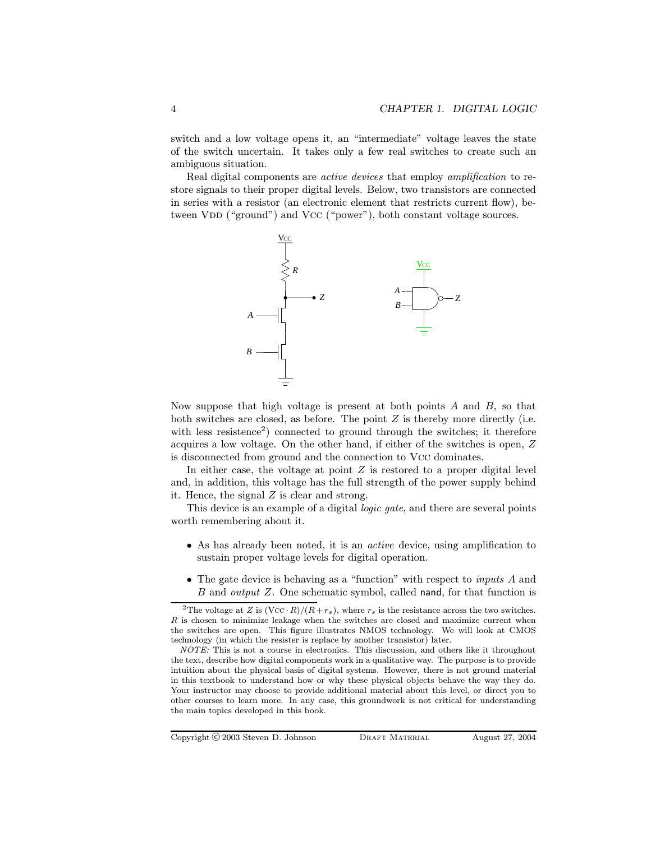switch and a low voltage opens it, an "intermediate" voltage leaves the state of the switch uncertain. It takes only a few real switches to create such an ambiguous situation.

Real digital components are *active devices* that employ *amplification* to restore signals to their proper digital levels. Below, two transistors are connected in series with a resistor (an electronic element that restricts current flow), between VDD ("ground") and VCC ("power"), both constant voltage sources.



Now suppose that high voltage is present at both points  $A$  and  $B$ , so that both switches are closed, as before. The point  $Z$  is thereby more directly (i.e. with less resistence<sup>2</sup>) connected to ground through the switches; it therefore acquires a low voltage. On the other hand, if either of the switches is open, Z is disconnected from ground and the connection to Vcc dominates.

In either case, the voltage at point  $Z$  is restored to a proper digital level and, in addition, this voltage has the full strength of the power supply behind it. Hence, the signal  $Z$  is clear and strong.

This device is an example of a digital *logic gate*, and there are several points worth remembering about it.

- As has already been noted, it is an *active* device, using amplification to sustain proper voltage levels for digital operation.
- The gate device is behaving as a "function" with respect to *inputs A* and B and output Z. One schematic symbol, called nand, for that function is

Copyright C 2003 Steven D. Johnson DRAFT MATERIAL August 27, 2004

<sup>&</sup>lt;sup>2</sup>The voltage at Z is  $(\text{Vec} \cdot R)/(R + r_s)$ , where  $r_s$  is the resistance across the two switches.  $R$  is chosen to minimize leakage when the switches are closed and maximize current when the switches are open. This figure illustrates NMOS technology. We will look at CMOS technology (in which the resister is replace by another transistor) later.

NOTE: This is not a course in electronics. This discussion, and others like it throughout the text, describe how digital components work in a qualitative way. The purpose is to provide intuition about the physical basis of digital systems. However, there is not ground material in this textbook to understand how or why these physical objects behave the way they do. Your instructor may choose to provide additional material about this level, or direct you to other courses to learn more. In any case, this groundwork is not critical for understanding the main topics developed in this book.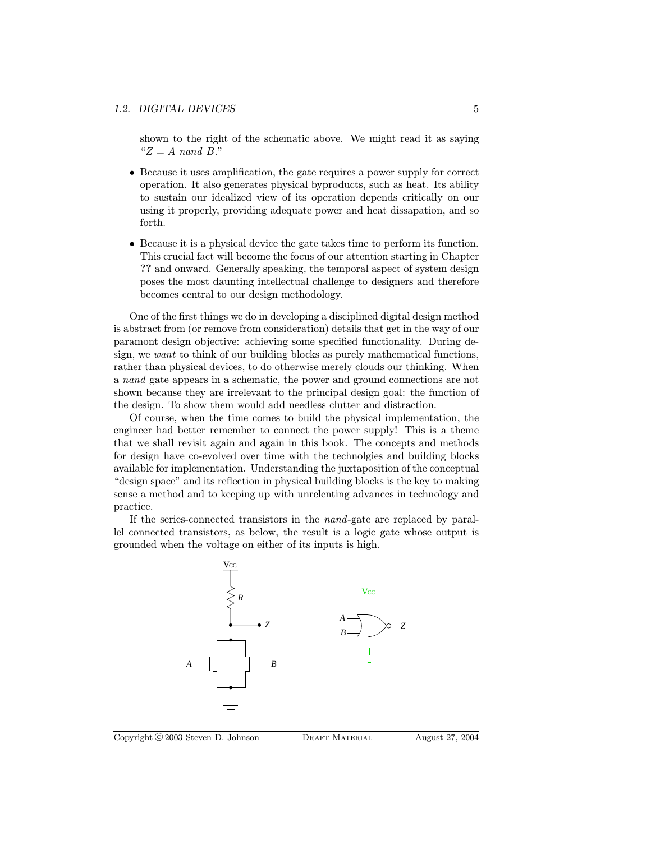shown to the right of the schematic above. We might read it as saying " $Z = A$  nand B."

- Because it uses amplification, the gate requires a power supply for correct operation. It also generates physical byproducts, such as heat. Its ability to sustain our idealized view of its operation depends critically on our using it properly, providing adequate power and heat dissapation, and so forth.
- Because it is a physical device the gate takes time to perform its function. This crucial fact will become the focus of our attention starting in Chapter ?? and onward. Generally speaking, the temporal aspect of system design poses the most daunting intellectual challenge to designers and therefore becomes central to our design methodology.

One of the first things we do in developing a disciplined digital design method is abstract from (or remove from consideration) details that get in the way of our paramont design objective: achieving some specified functionality. During design, we want to think of our building blocks as purely mathematical functions, rather than physical devices, to do otherwise merely clouds our thinking. When a nand gate appears in a schematic, the power and ground connections are not shown because they are irrelevant to the principal design goal: the function of the design. To show them would add needless clutter and distraction.

Of course, when the time comes to build the physical implementation, the engineer had better remember to connect the power supply! This is a theme that we shall revisit again and again in this book. The concepts and methods for design have co-evolved over time with the technolgies and building blocks available for implementation. Understanding the juxtaposition of the conceptual "design space" and its reflection in physical building blocks is the key to making sense a method and to keeping up with unrelenting advances in technology and practice.

If the series-connected transistors in the nand-gate are replaced by parallel connected transistors, as below, the result is a logic gate whose output is grounded when the voltage on either of its inputs is high.

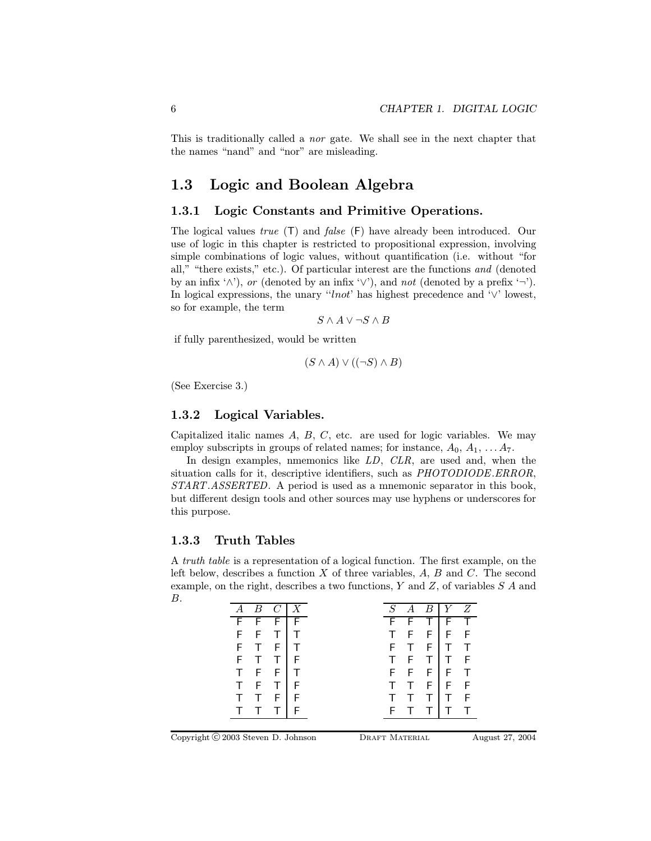This is traditionally called a nor gate. We shall see in the next chapter that the names "nand" and "nor" are misleading.

## 1.3 Logic and Boolean Algebra

#### 1.3.1 Logic Constants and Primitive Operations.

The logical values true (T) and false (F) have already been introduced. Our use of logic in this chapter is restricted to propositional expression, involving simple combinations of logic values, without quantification (i.e. without "for all," "there exists," etc.). Of particular interest are the functions and (denoted by an infix ' $\land$ '), or (denoted by an infix ' $\lor$ '), and not (denoted by a prefix '¬'). In logical expressions, the unary ''lnot' has highest precedence and '∨' lowest, so for example, the term

$$
S\wedge A\vee \neg S\wedge B
$$

if fully parenthesized, would be written

$$
(S \wedge A) \vee ((\neg S) \wedge B)
$$

(See Exercise 3.)

#### 1.3.2 Logical Variables.

Capitalized italic names  $A, B, C$ , etc. are used for logic variables. We may employ subscripts in groups of related names; for instance,  $A_0, A_1, \ldots A_7$ .

In design examples, nmemonics like LD, CLR, are used and, when the situation calls for it, descriptive identifiers, such as *PHOTODIODE.ERROR*, START.ASSERTED. A period is used as a mnemonic separator in this book, but different design tools and other sources may use hyphens or underscores for this purpose.

#### 1.3.3 Truth Tables

A truth table is a representation of a logical function. The first example, on the left below, describes a function  $X$  of three variables,  $A, B$  and  $C$ . The second example, on the right, describes a two functions,  $Y$  and  $Z$ , of variables  $S$   $A$  and

| В. |        | $A$ $B$ $C$ |    |     | S   | A      | В              |   | Z   |
|----|--------|-------------|----|-----|-----|--------|----------------|---|-----|
|    | $F$ F  |             | F  |     | F.  |        |                |   |     |
|    |        | F F         |    |     | T F |        | F L            | F | -F  |
|    | F.     | $\mathsf T$ | F. |     | F.  | $\top$ | F I            |   |     |
|    | F      | т           |    | - F |     | F      | т              |   | - F |
|    |        | T F         | F. |     | F.  | - F    | F <sub>1</sub> | F |     |
|    | T F    |             | Τ  | F   |     | T      | F I            | F | -F  |
|    | $\top$ | Τ           | F. | ΙF  |     |        |                |   | - F |
|    |        |             |    |     | F.  |        |                |   |     |
|    |        |             |    |     |     |        |                |   |     |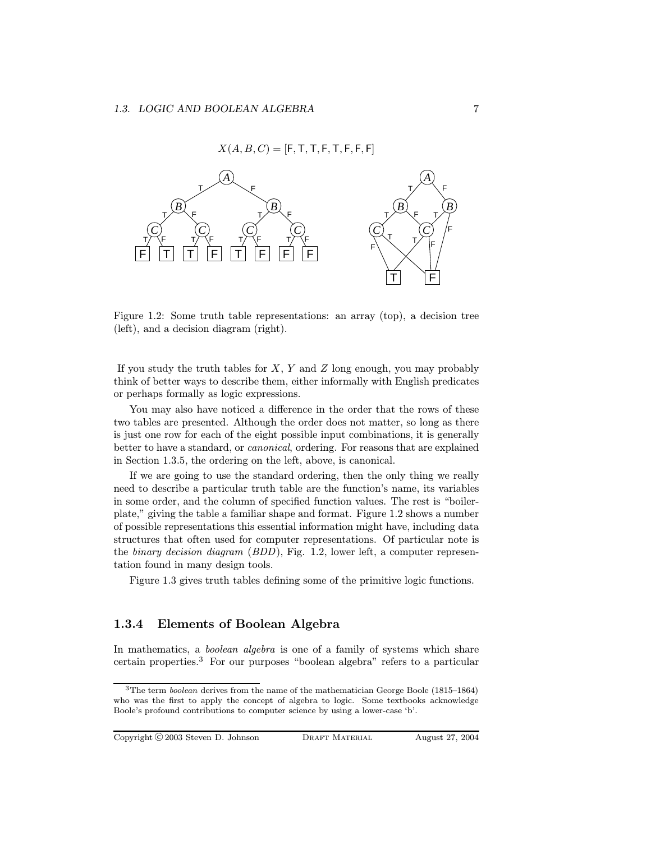#### $X(A, B, C)=[F, T, T, F, T, F, F, F]$



Figure 1.2: Some truth table representations: an array (top), a decision tree (left), and a decision diagram (right).

If you study the truth tables for  $X$ ,  $Y$  and  $Z$  long enough, you may probably think of better ways to describe them, either informally with English predicates or perhaps formally as logic expressions.

You may also have noticed a difference in the order that the rows of these two tables are presented. Although the order does not matter, so long as there is just one row for each of the eight possible input combinations, it is generally better to have a standard, or canonical, ordering. For reasons that are explained in Section 1.3.5, the ordering on the left, above, is canonical.

If we are going to use the standard ordering, then the only thing we really need to describe a particular truth table are the function's name, its variables in some order, and the column of specified function values. The rest is "boilerplate," giving the table a familiar shape and format. Figure 1.2 shows a number of possible representations this essential information might have, including data structures that often used for computer representations. Of particular note is the binary decision diagram (BDD), Fig. 1.2, lower left, a computer representation found in many design tools.

Figure 1.3 gives truth tables defining some of the primitive logic functions.

#### 1.3.4 Elements of Boolean Algebra

In mathematics, a *boolean algebra* is one of a family of systems which share certain properties.<sup>3</sup> For our purposes "boolean algebra" refers to a particular

Copyright C 2003 Steven D. Johnson DRAFT MATERIAL August 27, 2004

<sup>&</sup>lt;sup>3</sup>The term *boolean* derives from the name of the mathematician George Boole (1815–1864) who was the first to apply the concept of algebra to logic. Some textbooks acknowledge Boole's profound contributions to computer science by using a lower-case 'b'.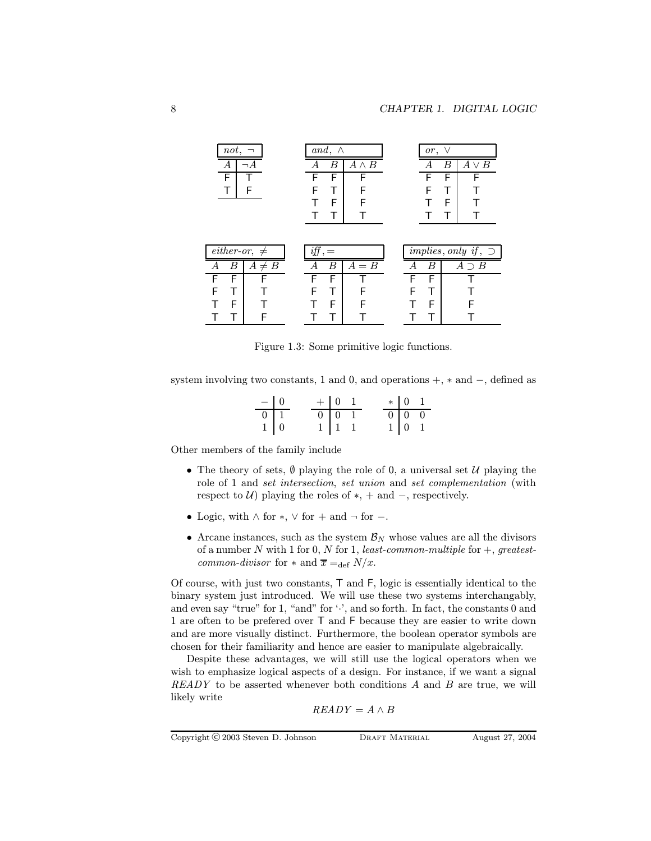| $not, \neg$ |   |                   |     | and, $\wedge$ |              |   | or, $\vee$ |   |                                           |  |
|-------------|---|-------------------|-----|---------------|--------------|---|------------|---|-------------------------------------------|--|
|             | А | $\neg A$          | А   | В             | $A \wedge B$ |   | А          | В | $A \vee B$                                |  |
|             | F |                   | F   | F             | F            |   | F          | F | F                                         |  |
|             |   |                   | F   |               | F            |   | F          |   |                                           |  |
|             |   |                   |     | F             |              |   |            | F |                                           |  |
|             |   |                   |     |               |              |   |            |   |                                           |  |
|             |   |                   |     |               |              |   |            |   |                                           |  |
|             |   | either-or, $\neq$ | iff | =             |              |   |            |   | $\overline{implies}$ , only if, $\supset$ |  |
| А           | В | $A \neq B$        |     | В             | $A = B$      |   | B          |   | $A \supset B$                             |  |
|             |   |                   |     |               |              |   |            |   |                                           |  |
| F           | F |                   | F   | F             |              |   | F          |   |                                           |  |
|             |   |                   | F   | Τ             |              | F |            |   |                                           |  |
|             | F |                   |     | F             | F            |   | F          |   | F                                         |  |

Figure 1.3: Some primitive logic functions.

system involving two constants, 1 and 0, and operations  $+$ ,  $*$  and  $-$ , defined as

| $\begin{array}{c c} - & 0 \\ \hline 0 & 1 \\ 1 & 0 \end{array}$ | $+\begin{bmatrix} 0 & 1 \end{bmatrix}$                   |  | $\begin{array}{c cc} * & 0 & 1 \\ \hline 0 & 0 & 0 \\ 1 & 0 & 1 \\ \end{array}$ |  |
|-----------------------------------------------------------------|----------------------------------------------------------|--|---------------------------------------------------------------------------------|--|
|                                                                 |                                                          |  |                                                                                 |  |
|                                                                 | $\begin{array}{c cc} 0 & 0 & 1 \\ 1 & 1 & 1 \end{array}$ |  |                                                                                 |  |

Other members of the family include

- The theory of sets,  $\emptyset$  playing the role of 0, a universal set U playing the role of 1 and set intersection, set union and set complementation (with respect to  $\mathcal{U}$ ) playing the roles of \*, + and -, respectively.
- Logic, with  $\land$  for  $*, \lor$  for  $+$  and  $\neg$  for  $-$ .
- Arcane instances, such as the system  $\mathcal{B}_N$  whose values are all the divisors of a number N with 1 for 0, N for 1, least-common-multiple for  $+$ , greatestcommon-divisor for  $*$  and  $\overline{x} =_{def} N/x$ .

Of course, with just two constants, T and F, logic is essentially identical to the binary system just introduced. We will use these two systems interchangably, and even say "true" for 1, "and" for '.', and so forth. In fact, the constants 0 and 1 are often to be prefered over T and F because they are easier to write down and are more visually distinct. Furthermore, the boolean operator symbols are chosen for their familiarity and hence are easier to manipulate algebraically.

Despite these advantages, we will still use the logical operators when we wish to emphasize logical aspects of a design. For instance, if we want a signal  $READV$  to be asserted whenever both conditions  $A$  and  $B$  are true, we will likely write

$$
READY = A \wedge B
$$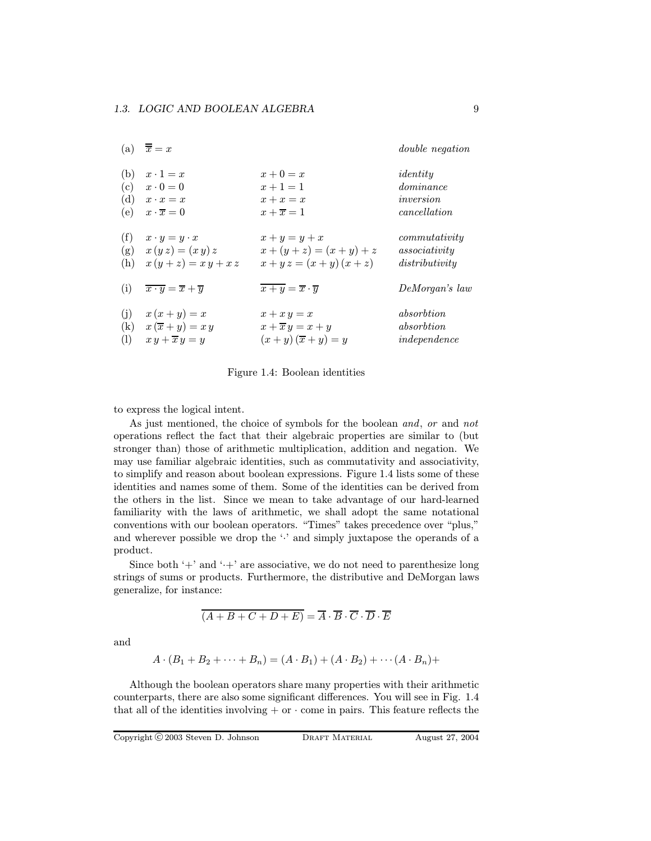| (a) | $\overline{\overline{x}} = x$                        |                                                    | double negation     |
|-----|------------------------------------------------------|----------------------------------------------------|---------------------|
| (b) | $x \cdot 1 = x$                                      | $x+0=x$                                            | identity            |
| (c) | $x\cdot 0=0$                                         | $x + 1 = 1$                                        | dominance           |
| (d) | $x \cdot x = x$                                      | $x + x = x$                                        | inversion           |
| (e) | $x \cdot \overline{x} = 0$                           | $x + \overline{x} = 1$                             | <i>cancellation</i> |
| (f) | $x \cdot y = y \cdot x$                              | $x+y=y+x$                                          | commutativity       |
| (g) | $x(yz) = (xy)z$                                      | $x + (y + z) = (x + y) + z$                        | associativity       |
| (h) | $x(y+z) = xy + x z$                                  | $x + y z = (x + y) (x + z)$                        | distribution        |
| (i) | $\overline{x \cdot y} = \overline{x} + \overline{y}$ | $\overline{x+y} = \overline{x} \cdot \overline{y}$ | DeMorgan's law      |
| (j) | $x(x+y)=x$                                           | $x + xy = x$                                       | absorbtion          |
| (k) | $x(\overline{x}+y)=xy$                               | $x + \overline{x} y = x + y$                       | absorbtion          |
| (1) | $x y + \overline{x} y = y$                           | $(x+y)(\overline{x}+y)=y$                          | independence        |

Figure 1.4: Boolean identities

to express the logical intent.

As just mentioned, the choice of symbols for the boolean and, or and not operations reflect the fact that their algebraic properties are similar to (but stronger than) those of arithmetic multiplication, addition and negation. We may use familiar algebraic identities, such as commutativity and associativity, to simplify and reason about boolean expressions. Figure 1.4 lists some of these identities and names some of them. Some of the identities can be derived from the others in the list. Since we mean to take advantage of our hard-learned familiarity with the laws of arithmetic, we shall adopt the same notational conventions with our boolean operators. "Times" takes precedence over "plus," and wherever possible we drop the '.' and simply juxtapose the operands of a product.

Since both  $+$  and  $+$  are associative, we do not need to parenthesize long strings of sums or products. Furthermore, the distributive and DeMorgan laws generalize, for instance:

$$
\overline{(A+B+C+D+E)} = \overline{A} \cdot \overline{B} \cdot \overline{C} \cdot \overline{D} \cdot \overline{E}
$$

and

$$
A \cdot (B_1 + B_2 + \dots + B_n) = (A \cdot B_1) + (A \cdot B_2) + \dots + (A \cdot B_n) +
$$

Although the boolean operators share many properties with their arithmetic counterparts, there are also some significant differences. You will see in Fig. 1.4 that all of the identities involving  $+$  or  $\cdot$  come in pairs. This feature reflects the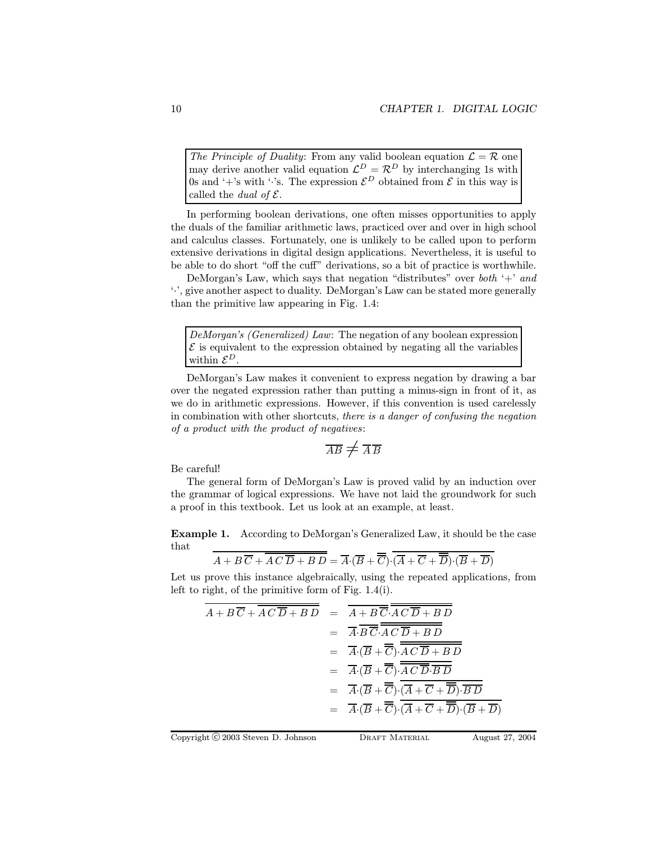The Principle of Duality: From any valid boolean equation  $\mathcal{L} = \mathcal{R}$  one may derive another valid equation  $\mathcal{L}^D = \mathcal{R}^D$  by interchanging 1s with 0s and '+'s with '·'s. The expression  $\mathcal{E}^D$  obtained from  $\mathcal E$  in this way is called the *dual of*  $\mathcal{E}$ *.* 

In performing boolean derivations, one often misses opportunities to apply the duals of the familiar arithmetic laws, practiced over and over in high school and calculus classes. Fortunately, one is unlikely to be called upon to perform extensive derivations in digital design applications. Nevertheless, it is useful to be able to do short "off the cuff" derivations, so a bit of practice is worthwhile.

DeMorgan's Law, which says that negation "distributes" over both  $+$  and '·', give another aspect to duality. DeMorgan's Law can be stated more generally than the primitive law appearing in Fig. 1.4:

DeMorgan's (Generalized) Law: The negation of any boolean expression  $\mathcal E$  is equivalent to the expression obtained by negating all the variables within  $\mathcal{E}^D$ .

DeMorgan's Law makes it convenient to express negation by drawing a bar over the negated expression rather than putting a minus-sign in front of it, as we do in arithmetic expressions. However, if this convention is used carelessly in combination with other shortcuts, there is a danger of confusing the negation of a product with the product of negatives:

$$
\overline{AB} \neq \overline{A}\,\overline{B}
$$

Be careful!

The general form of DeMorgan's Law is proved valid by an induction over the grammar of logical expressions. We have not laid the groundwork for such a proof in this textbook. Let us look at an example, at least.

Example 1. According to DeMorgan's Generalized Law, it should be the case that

$$
A + B\overline{C} + \overline{AC\overline{D} + B\overline{D}} = \overline{A}\cdot(\overline{B} + \overline{\overline{C}})\cdot(\overline{A} + \overline{C} + \overline{\overline{D}})\cdot(\overline{B} + \overline{D})
$$

Let us prove this instance algebraically, using the repeated applications, from left to right, of the primitive form of Fig. 1.4(i).

$$
\overline{A + B\overline{C} + \overline{ACD} + BD} = \overline{A + B\overline{C} \cdot \overline{ACD} + BD}
$$
\n
$$
= \overline{A} \cdot \overline{B} \overline{C} \cdot \overline{ACD} + BD
$$
\n
$$
= \overline{A} \cdot (\overline{B} + \overline{C}) \cdot \overline{ACD} + BD
$$
\n
$$
= \overline{A} \cdot (\overline{B} + \overline{C}) \cdot \overline{\overline{ACD} \cdot BD}
$$
\n
$$
= \overline{A} \cdot (\overline{B} + \overline{C}) \cdot \overline{\overline{(A + \overline{C} + \overline{D})} \cdot \overline{BD}}
$$
\n
$$
= \overline{A} \cdot (\overline{B} + \overline{C}) \cdot \overline{(\overline{A} + \overline{C} + \overline{D})} \cdot \overline{(\overline{B} + \overline{D})}
$$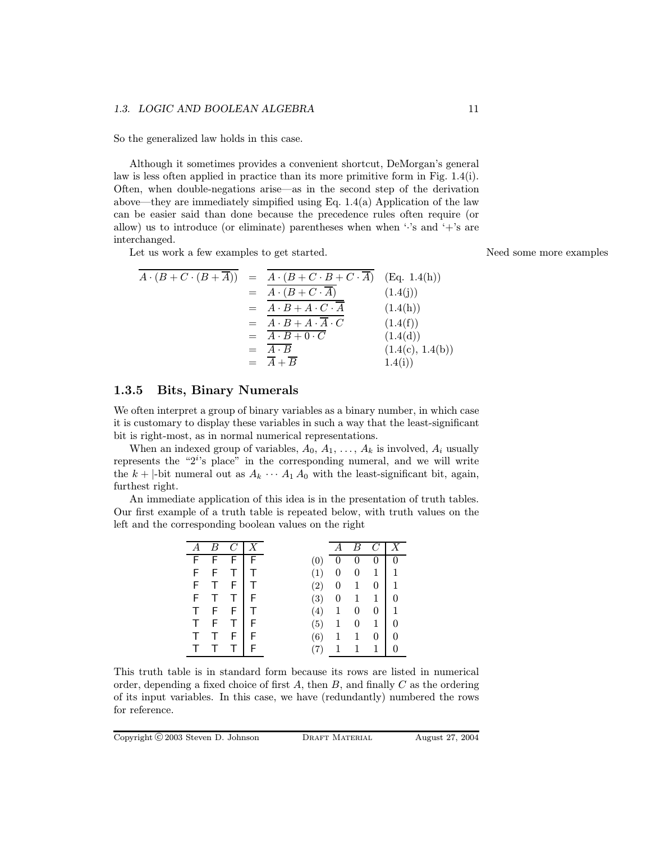So the generalized law holds in this case.

Although it sometimes provides a convenient shortcut, DeMorgan's general law is less often applied in practice than its more primitive form in Fig. 1.4(i). Often, when double-negations arise—as in the second step of the derivation above—they are immediately simpified using Eq. 1.4(a) Application of the law can be easier said than done because the precedence rules often require (or allow) us to introduce (or eliminate) parentheses when when  $\cdot$ 's and  $\cdot$ +'s are interchanged.

Let us work a few examples to get started. Need some more examples

$$
\overline{A \cdot (B + C \cdot (B + \overline{A}))} = \overline{A \cdot (B + C \cdot B + C \cdot \overline{A})} \quad \text{(Eq. 1.4(h))}
$$
\n
$$
= \overline{A \cdot (B + C \cdot \overline{A})} \quad \text{(1.4(j))}
$$
\n
$$
= \overline{A \cdot B + A \cdot C \cdot \overline{A}} \quad \text{(1.4(h))}
$$
\n
$$
= \overline{A \cdot B + A \cdot \overline{A} \cdot C} \quad \text{(1.4(f))}
$$
\n
$$
= \overline{A \cdot B} \quad \text{(1.4(d))}
$$
\n
$$
= \overline{A \cdot \overline{B}} \quad \text{(1.4(e), 1.4(b))}
$$
\n
$$
= \overline{A + \overline{B}} \quad \text{(1.4(e), 1.4(b))}
$$

#### 1.3.5 Bits, Binary Numerals

We often interpret a group of binary variables as a binary number, in which case it is customary to display these variables in such a way that the least-significant bit is right-most, as in normal numerical representations.

When an indexed group of variables,  $A_0, A_1, \ldots, A_k$  is involved,  $A_i$  usually represents the " $2^{i}$ 's place" in the corresponding numeral, and we will write the  $k +$ -bit numeral out as  $A_k \cdots A_1 A_0$  with the least-significant bit, again, furthest right.

An immediate application of this idea is in the presentation of truth tables. Our first example of a truth table is repeated below, with truth values on the left and the corresponding boolean values on the right

|    | $A \quad B \quad C \mid X$ |         |     | $A$ B C        |                |                             |                |
|----|----------------------------|---------|-----|----------------|----------------|-----------------------------|----------------|
|    |                            | F F F F |     |                | $0\quad 0$     | $\overline{0}$              | $\overline{0}$ |
|    | F F T T                    |         | (1) | $\overline{0}$ |                | $0 \quad 1 \mid 1$          |                |
|    | $F$ T $F$ $T$              |         | (2) |                | $0\quad 1$     | $\theta$                    | $\vert$ 1      |
|    | $F$ T T $F$                |         | (3) |                |                | $0 \quad 1 \quad 1 \quad 0$ |                |
|    | T F F T                    |         | (4) | $\mathbf{1}$   | $\overline{0}$ | $\overline{0}$              | $\vert 1$      |
|    | T F T F                    |         | (5) | $\mathbf{1}$   | $\overline{0}$ | $\sim 1$                    | $\overline{0}$ |
| T. | $T$ $F$ $F$                |         | (6) | $1 \quad 1$    |                | 0                           | $\overline{0}$ |
|    | T T                        | l F     | (7) | $\mathbf{1}$   | $\boxed{1}$    | $\mathbf{1}$                |                |

This truth table is in standard form because its rows are listed in numerical order, depending a fixed choice of first  $A$ , then  $B$ , and finally  $C$  as the ordering of its input variables. In this case, we have (redundantly) numbered the rows for reference.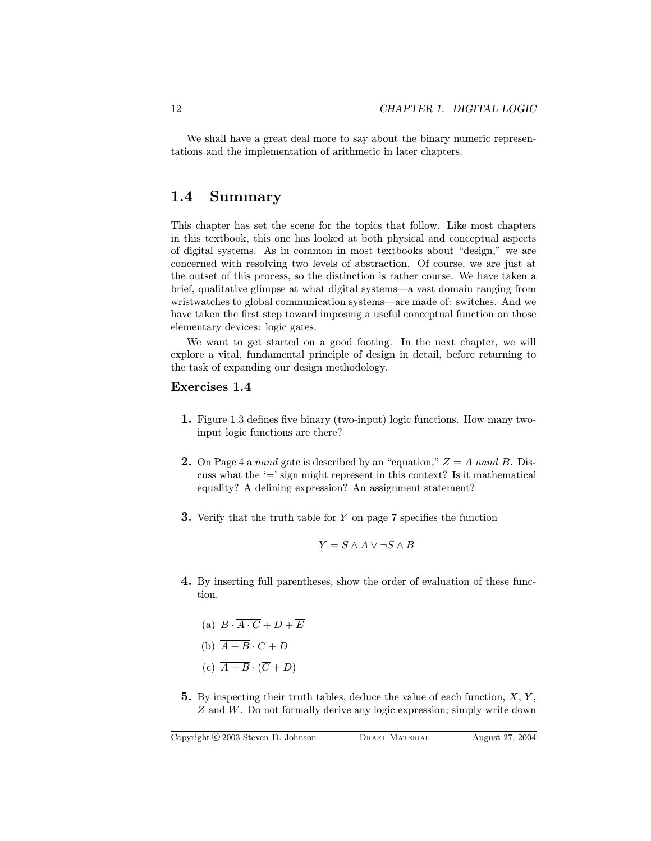We shall have a great deal more to say about the binary numeric representations and the implementation of arithmetic in later chapters.

### 1.4 Summary

This chapter has set the scene for the topics that follow. Like most chapters in this textbook, this one has looked at both physical and conceptual aspects of digital systems. As in common in most textbooks about "design," we are concerned with resolving two levels of abstraction. Of course, we are just at the outset of this process, so the distinction is rather course. We have taken a brief, qualitative glimpse at what digital systems—a vast domain ranging from wristwatches to global communication systems—are made of: switches. And we have taken the first step toward imposing a useful conceptual function on those elementary devices: logic gates.

We want to get started on a good footing. In the next chapter, we will explore a vital, fundamental principle of design in detail, before returning to the task of expanding our design methodology.

#### Exercises 1.4

- 1. Figure 1.3 defines five binary (two-input) logic functions. How many twoinput logic functions are there?
- **2.** On Page 4 a nand gate is described by an "equation,"  $Z = A$  nand B. Discuss what the  $\epsilon$  sign might represent in this context? Is it mathematical equality? A defining expression? An assignment statement?
- **3.** Verify that the truth table for  $Y$  on page 7 specifies the function

$$
Y = S \land A \lor \neg S \land B
$$

- 4. By inserting full parentheses, show the order of evaluation of these function.
	- (a)  $B \cdot \overline{A \cdot C} + D + \overline{E}$
	- (b)  $\overline{A+B}\cdot C+D$
	- (c)  $\overline{A+B}\cdot(\overline{C}+D)$
- **5.** By inspecting their truth tables, deduce the value of each function,  $X, Y$ , Z and W. Do not formally derive any logic expression; simply write down